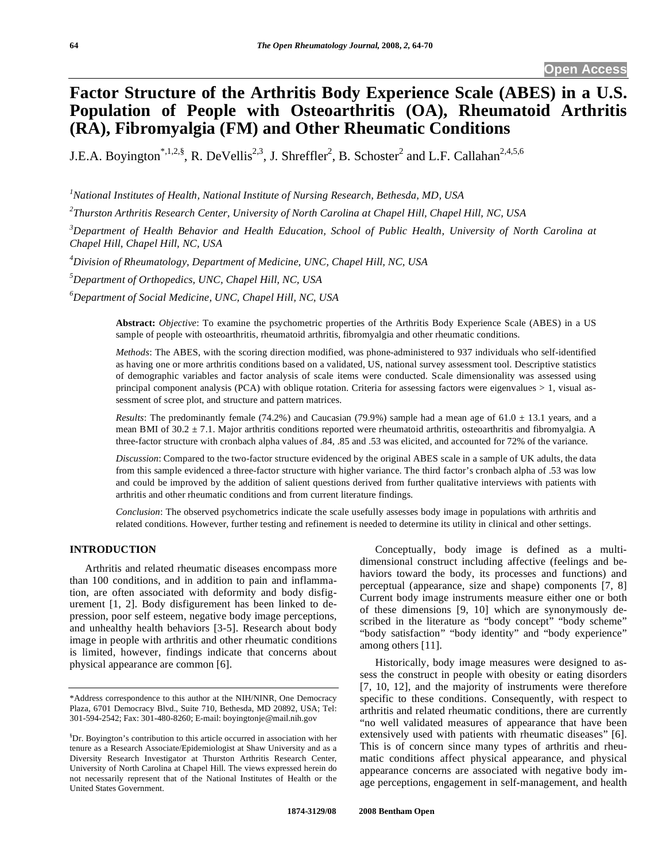# **Factor Structure of the Arthritis Body Experience Scale (ABES) in a U.S. Population of People with Osteoarthritis (OA), Rheumatoid Arthritis (RA), Fibromyalgia (FM) and Other Rheumatic Conditions**

J.E.A. Boyington<sup>\*,1,2,§</sup>, R. DeVellis<sup>2,3</sup>, J. Shreffler<sup>2</sup>, B. Schoster<sup>2</sup> and L.F. Callahan<sup>2,4,5,6</sup>

*1 National Institutes of Health, National Institute of Nursing Research, Bethesda, MD, USA* 

*2 Thurston Arthritis Research Center, University of North Carolina at Chapel Hill, Chapel Hill, NC, USA* 

*3 Department of Health Behavior and Health Education, School of Public Health, University of North Carolina at Chapel Hill, Chapel Hill, NC, USA* 

*4 Division of Rheumatology, Department of Medicine, UNC, Chapel Hill, NC, USA* 

*5 Department of Orthopedics, UNC, Chapel Hill, NC, USA*

*6 Department of Social Medicine, UNC, Chapel Hill, NC, USA* 

**Abstract:** *Objective*: To examine the psychometric properties of the Arthritis Body Experience Scale (ABES) in a US sample of people with osteoarthritis, rheumatoid arthritis, fibromyalgia and other rheumatic conditions.

*Methods*: The ABES, with the scoring direction modified, was phone-administered to 937 individuals who self-identified as having one or more arthritis conditions based on a validated, US, national survey assessment tool. Descriptive statistics of demographic variables and factor analysis of scale items were conducted. Scale dimensionality was assessed using principal component analysis (PCA) with oblique rotation. Criteria for assessing factors were eigenvalues > 1, visual assessment of scree plot, and structure and pattern matrices.

*Results*: The predominantly female (74.2%) and Caucasian (79.9%) sample had a mean age of  $61.0 \pm 13.1$  years, and a mean BMI of  $30.2 \pm 7.1$ . Major arthritis conditions reported were rheumatoid arthritis, osteoarthritis and fibromyalgia. A three-factor structure with cronbach alpha values of .84, .85 and .53 was elicited, and accounted for 72% of the variance.

*Discussion*: Compared to the two-factor structure evidenced by the original ABES scale in a sample of UK adults, the data from this sample evidenced a three-factor structure with higher variance. The third factor's cronbach alpha of .53 was low and could be improved by the addition of salient questions derived from further qualitative interviews with patients with arthritis and other rheumatic conditions and from current literature findings.

*Conclusion*: The observed psychometrics indicate the scale usefully assesses body image in populations with arthritis and related conditions. However, further testing and refinement is needed to determine its utility in clinical and other settings.

# **INTRODUCTION**

 Arthritis and related rheumatic diseases encompass more than 100 conditions, and in addition to pain and inflammation, are often associated with deformity and body disfigurement [1, 2]. Body disfigurement has been linked to depression, poor self esteem, negative body image perceptions, and unhealthy health behaviors [3-5]. Research about body image in people with arthritis and other rheumatic conditions is limited, however, findings indicate that concerns about physical appearance are common [6].

 Conceptually, body image is defined as a multidimensional construct including affective (feelings and behaviors toward the body, its processes and functions) and perceptual (appearance, size and shape) components [7, 8] Current body image instruments measure either one or both of these dimensions [9, 10] which are synonymously described in the literature as "body concept" "body scheme" "body satisfaction" "body identity" and "body experience" among others [11].

 Historically, body image measures were designed to assess the construct in people with obesity or eating disorders [7, 10, 12], and the majority of instruments were therefore specific to these conditions. Consequently, with respect to arthritis and related rheumatic conditions, there are currently "no well validated measures of appearance that have been extensively used with patients with rheumatic diseases" [6]. This is of concern since many types of arthritis and rheumatic conditions affect physical appearance, and physical appearance concerns are associated with negative body image perceptions, engagement in self-management, and health

<sup>\*</sup>Address correspondence to this author at the NIH/NINR, One Democracy Plaza, 6701 Democracy Blvd., Suite 710, Bethesda, MD 20892, USA; Tel: 301-594-2542; Fax: 301-480-8260; E-mail: boyingtonje@mail.nih.gov

<sup>§</sup> Dr. Boyington's contribution to this article occurred in association with her tenure as a Research Associate/Epidemiologist at Shaw University and as a Diversity Research Investigator at Thurston Arthritis Research Center, University of North Carolina at Chapel Hill. The views expressed herein do not necessarily represent that of the National Institutes of Health or the United States Government.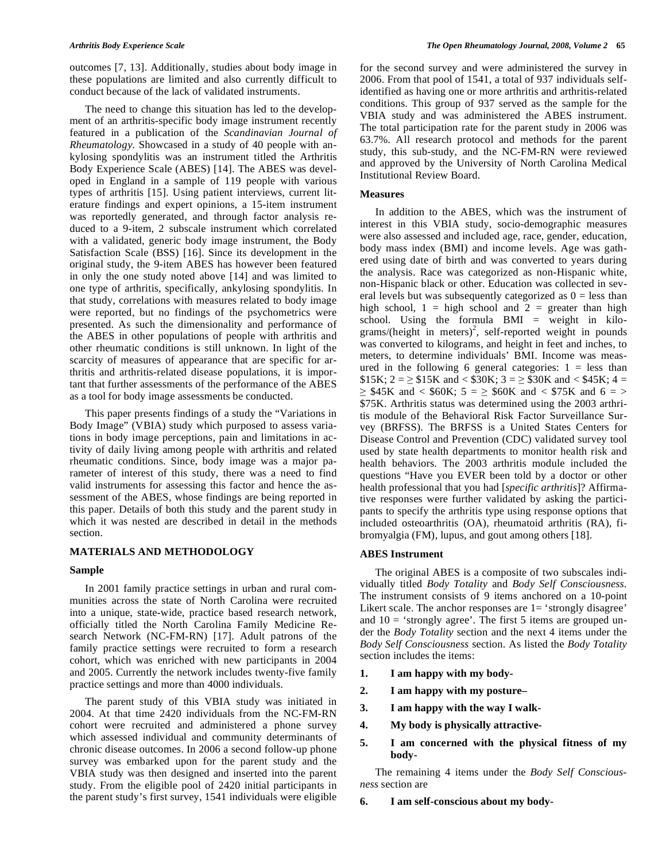outcomes [7, 13]. Additionally, studies about body image in these populations are limited and also currently difficult to conduct because of the lack of validated instruments.

 The need to change this situation has led to the development of an arthritis-specific body image instrument recently featured in a publication of the *Scandinavian Journal of Rheumatology*. Showcased in a study of 40 people with ankylosing spondylitis was an instrument titled the Arthritis Body Experience Scale (ABES) [14]. The ABES was developed in England in a sample of 119 people with various types of arthritis [15]. Using patient interviews, current literature findings and expert opinions, a 15-item instrument was reportedly generated, and through factor analysis reduced to a 9-item, 2 subscale instrument which correlated with a validated, generic body image instrument, the Body Satisfaction Scale (BSS) [16]. Since its development in the original study, the 9-item ABES has however been featured in only the one study noted above [14] and was limited to one type of arthritis, specifically, ankylosing spondylitis. In that study, correlations with measures related to body image were reported, but no findings of the psychometrics were presented. As such the dimensionality and performance of the ABES in other populations of people with arthritis and other rheumatic conditions is still unknown. In light of the scarcity of measures of appearance that are specific for arthritis and arthritis-related disease populations, it is important that further assessments of the performance of the ABES as a tool for body image assessments be conducted.

 This paper presents findings of a study the "Variations in Body Image" (VBIA) study which purposed to assess variations in body image perceptions, pain and limitations in activity of daily living among people with arthritis and related rheumatic conditions. Since, body image was a major parameter of interest of this study, there was a need to find valid instruments for assessing this factor and hence the assessment of the ABES, whose findings are being reported in this paper. Details of both this study and the parent study in which it was nested are described in detail in the methods section.

# **MATERIALS AND METHODOLOGY**

# **Sample**

 In 2001 family practice settings in urban and rural communities across the state of North Carolina were recruited into a unique, state-wide, practice based research network, officially titled the North Carolina Family Medicine Research Network (NC-FM-RN) [17]. Adult patrons of the family practice settings were recruited to form a research cohort, which was enriched with new participants in 2004 and 2005. Currently the network includes twenty-five family practice settings and more than 4000 individuals.

 The parent study of this VBIA study was initiated in 2004. At that time 2420 individuals from the NC-FM-RN cohort were recruited and administered a phone survey which assessed individual and community determinants of chronic disease outcomes. In 2006 a second follow-up phone survey was embarked upon for the parent study and the VBIA study was then designed and inserted into the parent study. From the eligible pool of 2420 initial participants in the parent study's first survey, 1541 individuals were eligible

for the second survey and were administered the survey in 2006. From that pool of 1541, a total of 937 individuals selfidentified as having one or more arthritis and arthritis-related conditions. This group of 937 served as the sample for the VBIA study and was administered the ABES instrument. The total participation rate for the parent study in 2006 was 63.7%. All research protocol and methods for the parent study, this sub-study, and the NC-FM-RN were reviewed and approved by the University of North Carolina Medical Institutional Review Board.

# **Measures**

 In addition to the ABES, which was the instrument of interest in this VBIA study, socio-demographic measures were also assessed and included age, race, gender, education, body mass index (BMI) and income levels. Age was gathered using date of birth and was converted to years during the analysis. Race was categorized as non-Hispanic white, non-Hispanic black or other. Education was collected in several levels but was subsequently categorized as  $0 =$  less than high school,  $1 =$  high school and  $2 =$  greater than high school. Using the formula BMI = weight in kilo $grams/(height in meters)<sup>2</sup>, self-reported weight in pounds$ was converted to kilograms, and height in feet and inches, to meters, to determine individuals' BMI. Income was measured in the following 6 general categories:  $1 =$  less than  $$15K; 2 = \ge $15K \text{ and } < $30K; 3 = \ge $30K \text{ and } < $45K; 4 =$  $\geq$  \$45K and < \$60K; 5 =  $\geq$  \$60K and < \$75K and 6 =  $>$ \$75K. Arthritis status was determined using the 2003 arthritis module of the Behavioral Risk Factor Surveillance Survey (BRFSS). The BRFSS is a United States Centers for Disease Control and Prevention (CDC) validated survey tool used by state health departments to monitor health risk and health behaviors. The 2003 arthritis module included the questions "Have you EVER been told by a doctor or other health professional that you had [*specific arthritis*]? Affirmative responses were further validated by asking the participants to specify the arthritis type using response options that included osteoarthritis (OA), rheumatoid arthritis (RA), fibromyalgia (FM), lupus, and gout among others [18].

# **ABES Instrument**

 The original ABES is a composite of two subscales individually titled *Body Totality* and *Body Self Consciousness.*  The instrument consists of 9 items anchored on a 10-point Likert scale. The anchor responses are  $1 = 'strongly disagree'$ and  $10 =$  'strongly agree'. The first 5 items are grouped under the *Body Totality* section and the next 4 items under the *Body Self Consciousness* section. As listed the *Body Totality*  section includes the items:

- **1. I am happy with my body-**
- **2. I am happy with my posture–**
- **3. I am happy with the way I walk-**
- **4. My body is physically attractive-**
- **5. I am concerned with the physical fitness of my body-**

 The remaining 4 items under the *Body Self Consciousness* section are

**6. I am self-conscious about my body-**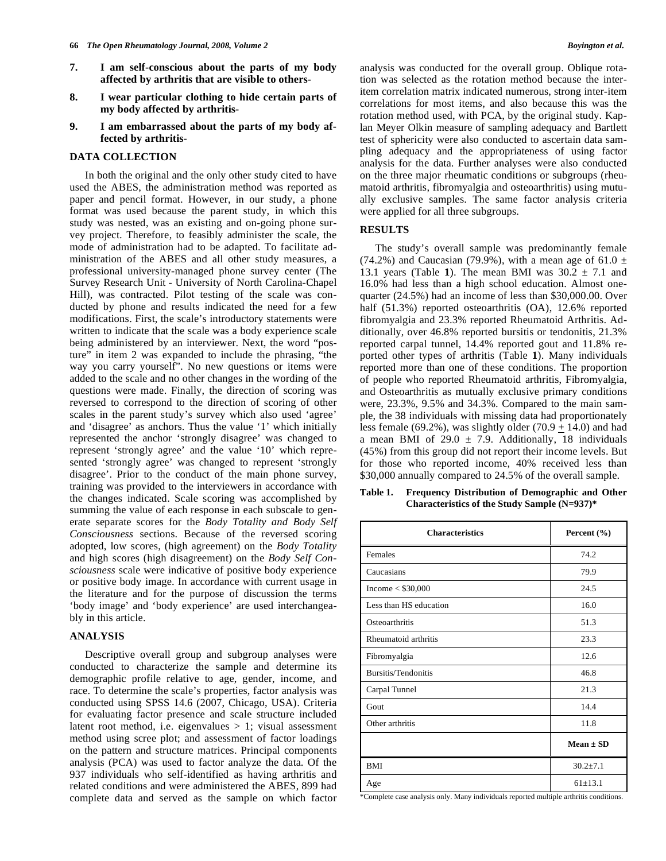- **7. I am self-conscious about the parts of my body affected by arthritis that are visible to others-**
- **8. I wear particular clothing to hide certain parts of my body affected by arthritis-**
- **9. I am embarrassed about the parts of my body affected by arthritis-**

# **DATA COLLECTION**

 In both the original and the only other study cited to have used the ABES, the administration method was reported as paper and pencil format. However, in our study, a phone format was used because the parent study, in which this study was nested, was an existing and on-going phone survey project. Therefore, to feasibly administer the scale, the mode of administration had to be adapted. To facilitate administration of the ABES and all other study measures, a professional university-managed phone survey center (The Survey Research Unit - University of North Carolina-Chapel Hill), was contracted. Pilot testing of the scale was conducted by phone and results indicated the need for a few modifications. First, the scale's introductory statements were written to indicate that the scale was a body experience scale being administered by an interviewer. Next, the word "posture" in item 2 was expanded to include the phrasing, "the way you carry yourself". No new questions or items were added to the scale and no other changes in the wording of the questions were made. Finally, the direction of scoring was reversed to correspond to the direction of scoring of other scales in the parent study's survey which also used 'agree' and 'disagree' as anchors. Thus the value '1' which initially represented the anchor 'strongly disagree' was changed to represent 'strongly agree' and the value '10' which represented 'strongly agree' was changed to represent 'strongly disagree'. Prior to the conduct of the main phone survey, training was provided to the interviewers in accordance with the changes indicated. Scale scoring was accomplished by summing the value of each response in each subscale to generate separate scores for the *Body Totality and Body Self Consciousness* sections. Because of the reversed scoring adopted, low scores, (high agreement) on the *Body Totality* and high scores (high disagreement) on the *Body Self Consciousness* scale were indicative of positive body experience or positive body image. In accordance with current usage in the literature and for the purpose of discussion the terms 'body image' and 'body experience' are used interchangeably in this article.

### **ANALYSIS**

 Descriptive overall group and subgroup analyses were conducted to characterize the sample and determine its demographic profile relative to age, gender, income, and race. To determine the scale's properties, factor analysis was conducted using SPSS 14.6 (2007, Chicago, USA). Criteria for evaluating factor presence and scale structure included latent root method, i.e. eigenvalues  $> 1$ ; visual assessment method using scree plot; and assessment of factor loadings on the pattern and structure matrices. Principal components analysis (PCA) was used to factor analyze the data. Of the 937 individuals who self-identified as having arthritis and related conditions and were administered the ABES, 899 had complete data and served as the sample on which factor

analysis was conducted for the overall group. Oblique rotation was selected as the rotation method because the interitem correlation matrix indicated numerous, strong inter-item correlations for most items, and also because this was the rotation method used, with PCA, by the original study. Kaplan Meyer Olkin measure of sampling adequacy and Bartlett test of sphericity were also conducted to ascertain data sampling adequacy and the appropriateness of using factor analysis for the data. Further analyses were also conducted on the three major rheumatic conditions or subgroups (rheumatoid arthritis, fibromyalgia and osteoarthritis) using mutually exclusive samples. The same factor analysis criteria were applied for all three subgroups.

# **RESULTS**

 The study's overall sample was predominantly female (74.2%) and Caucasian (79.9%), with a mean age of 61.0  $\pm$ 13.1 years (Table 1). The mean BMI was  $30.2 \pm 7.1$  and 16.0% had less than a high school education. Almost onequarter (24.5%) had an income of less than \$30,000.00. Over half (51.3%) reported osteoarthritis (OA), 12.6% reported fibromyalgia and 23.3% reported Rheumatoid Arthritis. Additionally, over 46.8% reported bursitis or tendonitis, 21.3% reported carpal tunnel, 14.4% reported gout and 11.8% reported other types of arthritis (Table **1**). Many individuals reported more than one of these conditions. The proportion of people who reported Rheumatoid arthritis, Fibromyalgia, and Osteoarthritis as mutually exclusive primary conditions were, 23.3%, 9.5% and 34.3%. Compared to the main sample, the 38 individuals with missing data had proportionately less female (69.2%), was slightly older (70.9  $\pm$  14.0) and had a mean BMI of  $29.0 \pm 7.9$ . Additionally, 18 individuals (45%) from this group did not report their income levels. But for those who reported income, 40% received less than \$30,000 annually compared to 24.5% of the overall sample.

**Table 1. Frequency Distribution of Demographic and Other Characteristics of the Study Sample (N=937)\*** 

| <b>Characteristics</b> | Percent $(\% )$ |  |
|------------------------|-----------------|--|
| Females                | 74.2            |  |
| Caucasians             | 79.9            |  |
| Income $<$ \$30,000    | 24.5            |  |
| Less than HS education | 16.0            |  |
| Osteoarthritis         | 51.3            |  |
| Rheumatoid arthritis   | 23.3            |  |
| Fibromyalgia           | 12.6            |  |
| Bursitis/Tendonitis    | 46.8            |  |
| Carpal Tunnel          | 21.3            |  |
| Gout                   | 14.4            |  |
| Other arthritis        | 11.8            |  |
|                        | $Mean \pm SD$   |  |
| <b>BMI</b>             | $30.2 \pm 7.1$  |  |
| Age                    | $61 + 13.1$     |  |

\*Complete case analysis only. Many individuals reported multiple arthritis conditions.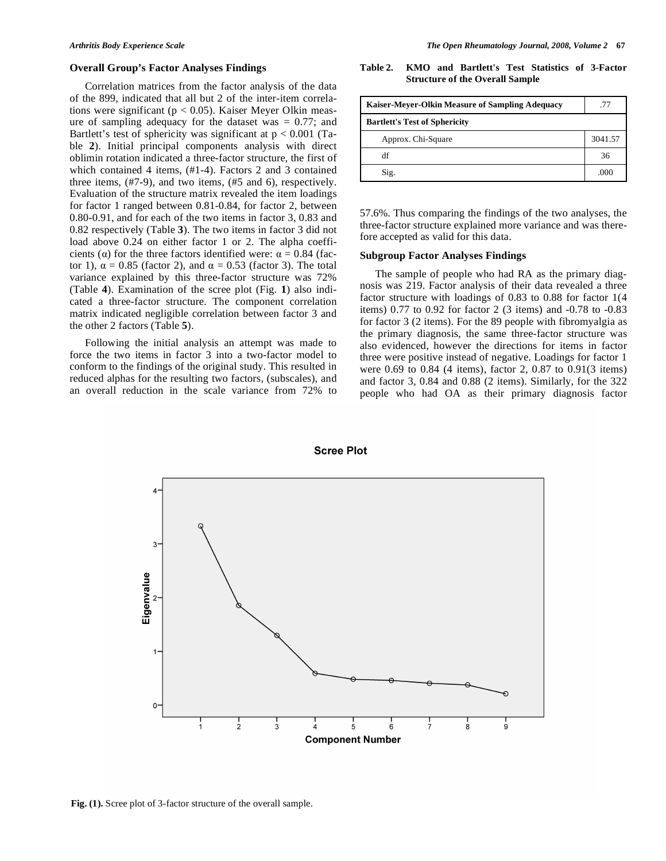#### **Overall Group's Factor Analyses Findings**

 Correlation matrices from the factor analysis of the data of the 899, indicated that all but 2 of the inter-item correlations were significant ( $p < 0.05$ ). Kaiser Meyer Olkin measure of sampling adequacy for the dataset was  $= 0.77$ ; and Bartlett's test of sphericity was significant at  $p < 0.001$  (Table **2**). Initial principal components analysis with direct oblimin rotation indicated a three-factor structure, the first of which contained 4 items, (#1-4). Factors 2 and 3 contained three items, (#7-9), and two items, (#5 and 6), respectively. Evaluation of the structure matrix revealed the item loadings for factor 1 ranged between 0.81-0.84, for factor 2, between 0.80-0.91, and for each of the two items in factor 3, 0.83 and 0.82 respectively (Table **3**). The two items in factor 3 did not load above 0.24 on either factor 1 or 2. The alpha coefficients ( $\alpha$ ) for the three factors identified were:  $\alpha = 0.84$  (factor 1),  $\alpha = 0.85$  (factor 2), and  $\alpha = 0.53$  (factor 3). The total variance explained by this three-factor structure was 72% (Table **4**). Examination of the scree plot (Fig. **1**) also indicated a three-factor structure. The component correlation matrix indicated negligible correlation between factor 3 and the other 2 factors (Table **5**).

 Following the initial analysis an attempt was made to force the two items in factor 3 into a two-factor model to conform to the findings of the original study. This resulted in reduced alphas for the resulting two factors, (subscales), and an overall reduction in the scale variance from 72% to

**Table 2. KMO and Bartlett's Test Statistics of 3-Factor Structure of the Overall Sample** 

| Kaiser-Meyer-Olkin Measure of Sampling Adequacy | .77     |
|-------------------------------------------------|---------|
| <b>Bartlett's Test of Sphericity</b>            |         |
| Approx. Chi-Square                              | 3041.57 |
| df                                              | 36      |
| Sig.                                            | .000    |

57.6%. Thus comparing the findings of the two analyses, the three-factor structure explained more variance and was therefore accepted as valid for this data.

# **Subgroup Factor Analyses Findings**

 The sample of people who had RA as the primary diagnosis was 219. Factor analysis of their data revealed a three factor structure with loadings of 0.83 to 0.88 for factor 1(4 items) 0.77 to 0.92 for factor 2 (3 items) and -0.78 to -0.83 for factor 3 (2 items). For the 89 people with fibromyalgia as the primary diagnosis, the same three-factor structure was also evidenced, however the directions for items in factor three were positive instead of negative. Loadings for factor 1 were 0.69 to 0.84 (4 items), factor 2, 0.87 to 0.91(3 items) and factor 3, 0.84 and 0.88 (2 items). Similarly, for the 322 people who had OA as their primary diagnosis factor



### **Fig. (1).** Scree plot of 3-factor structure of the overall sample.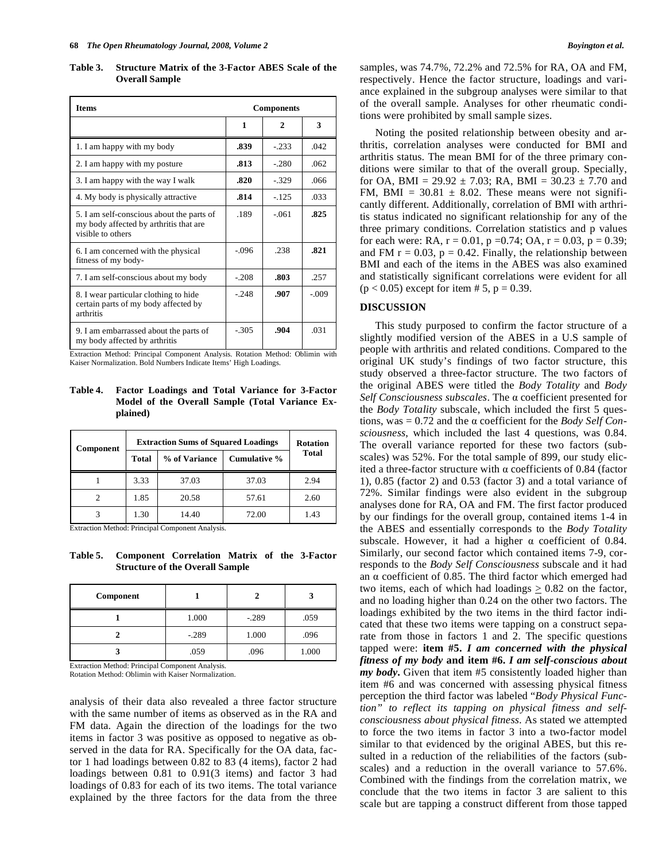**Table 3. Structure Matrix of the 3-Factor ABES Scale of the Overall Sample** 

| <b>Items</b>                                                                                             | <b>Components</b> |              |         |
|----------------------------------------------------------------------------------------------------------|-------------------|--------------|---------|
|                                                                                                          | 1                 | $\mathbf{2}$ | 3       |
| 1. I am happy with my body                                                                               | .839              | $-233$       | .042    |
| 2. I am happy with my posture                                                                            | .813              | $-.280$      | .062    |
| 3. I am happy with the way I walk                                                                        | .820              | $-329$       | .066    |
| 4. My body is physically attractive                                                                      | .814              | $-125$       | .033    |
| 5. I am self-conscious about the parts of<br>my body affected by arthritis that are<br>visible to others | .189              | $-061$       | .825    |
| 6. I am concerned with the physical<br>fitness of my body-                                               | $-.096$           | .238         | .821    |
| 7. I am self-conscious about my body                                                                     | $-.208$           | .803         | .257    |
| 8. I wear particular clothing to hide.<br>certain parts of my body affected by<br>arthritis              | $-.248$           | .907         | $-.009$ |
| 9. I am embarrassed about the parts of<br>my body affected by arthritis                                  | $-305$            | .904         | .031    |

Extraction Method: Principal Component Analysis. Rotation Method: Oblimin with Kaiser Normalization. Bold Numbers Indicate Items' High Loadings.

**Table 4. Factor Loadings and Total Variance for 3-Factor Model of the Overall Sample (Total Variance Explained)** 

| Component | <b>Extraction Sums of Squared Loadings</b> |               |              | <b>Rotation</b> |
|-----------|--------------------------------------------|---------------|--------------|-----------------|
|           | <b>Total</b>                               | % of Variance | Cumulative % | <b>Total</b>    |
|           | 3.33                                       | 37.03         | 37.03        | 2.94            |
|           | 1.85                                       | 20.58         | 57.61        | 2.60            |
|           | 1.30                                       | 14.40         | 72.00        | 1.43            |

Extraction Method: Principal Component Analysis.

**Table 5. Component Correlation Matrix of the 3-Factor Structure of the Overall Sample** 

| Component |         |         |       |
|-----------|---------|---------|-------|
|           | 1.000   | $-.289$ | .059  |
|           | $-.289$ | 1.000   | .096  |
|           | .059    | .096    | 1.000 |

Extraction Method: Principal Component Analysis. Rotation Method: Oblimin with Kaiser Normalization.

analysis of their data also revealed a three factor structure with the same number of items as observed as in the RA and FM data. Again the direction of the loadings for the two items in factor 3 was positive as opposed to negative as observed in the data for RA. Specifically for the OA data, factor 1 had loadings between 0.82 to 83 (4 items), factor 2 had loadings between 0.81 to 0.91(3 items) and factor 3 had loadings of 0.83 for each of its two items. The total variance explained by the three factors for the data from the three samples, was 74.7%, 72.2% and 72.5% for RA, OA and FM, respectively. Hence the factor structure, loadings and variance explained in the subgroup analyses were similar to that of the overall sample. Analyses for other rheumatic conditions were prohibited by small sample sizes.

 Noting the posited relationship between obesity and arthritis, correlation analyses were conducted for BMI and arthritis status. The mean BMI for of the three primary conditions were similar to that of the overall group. Specially, for OA, BMI =  $29.92 \pm 7.03$ ; RA, BMI =  $30.23 \pm 7.70$  and FM, BMI =  $30.81 \pm 8.02$ . These means were not significantly different. Additionally, correlation of BMI with arthritis status indicated no significant relationship for any of the three primary conditions. Correlation statistics and p values for each were: RA,  $r = 0.01$ ,  $p = 0.74$ ; OA,  $r = 0.03$ ,  $p = 0.39$ ; and FM  $r = 0.03$ ,  $p = 0.42$ . Finally, the relationship between BMI and each of the items in the ABES was also examined and statistically significant correlations were evident for all  $(p < 0.05)$  except for item # 5, p = 0.39.

# **DISCUSSION**

 This study purposed to confirm the factor structure of a slightly modified version of the ABES in a U.S sample of people with arthritis and related conditions. Compared to the original UK study's findings of two factor structure, this study observed a three-factor structure. The two factors of the original ABES were titled the *Body Totality* and *Body Self Consciousness subscales*. The α coefficient presented for the *Body Totality* subscale, which included the first 5 questions, was  $= 0.72$  and the  $\alpha$  coefficient for the *Body Self Consciousness*, which included the last 4 questions, was 0.84. The overall variance reported for these two factors (subscales) was 52%. For the total sample of 899, our study elicited a three-factor structure with  $\alpha$  coefficients of 0.84 (factor 1), 0.85 (factor 2) and 0.53 (factor 3) and a total variance of 72%. Similar findings were also evident in the subgroup analyses done for RA, OA and FM. The first factor produced by our findings for the overall group, contained items 1-4 in the ABES and essentially corresponds to the *Body Totality* subscale. However, it had a higher  $\alpha$  coefficient of 0.84. Similarly, our second factor which contained items 7-9, corresponds to the *Body Self Consciousness* subscale and it had an  $\alpha$  coefficient of 0.85. The third factor which emerged had two items, each of which had loadings  $\geq 0.82$  on the factor, and no loading higher than 0.24 on the other two factors. The loadings exhibited by the two items in the third factor indicated that these two items were tapping on a construct separate from those in factors 1 and 2. The specific questions tapped were: **item #5.** *I am concerned with the physical fitness of my body* **and item #6.** *I am self-conscious about my body***.** Given that item #5 consistently loaded higher than item #6 and was concerned with assessing physical fitness perception the third factor was labeled "*Body Physical Function" to reflect its tapping on physical fitness and selfconsciousness about physical fitness*. As stated we attempted to force the two items in factor 3 into a two-factor model similar to that evidenced by the original ABES, but this resulted in a reduction of the reliabilities of the factors (subscales) and a reduction in the overall variance to 57.6%. Combined with the findings from the correlation matrix, we conclude that the two items in factor 3 are salient to this scale but are tapping a construct different from those tapped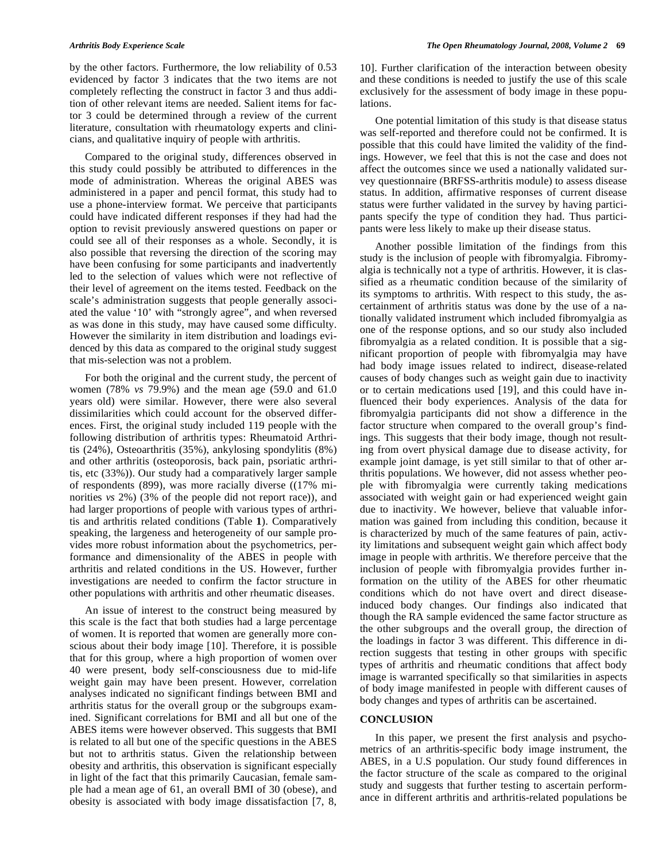by the other factors. Furthermore, the low reliability of 0.53 evidenced by factor 3 indicates that the two items are not completely reflecting the construct in factor 3 and thus addition of other relevant items are needed. Salient items for factor 3 could be determined through a review of the current literature, consultation with rheumatology experts and clinicians, and qualitative inquiry of people with arthritis.

 Compared to the original study, differences observed in this study could possibly be attributed to differences in the mode of administration. Whereas the original ABES was administered in a paper and pencil format, this study had to use a phone-interview format. We perceive that participants could have indicated different responses if they had had the option to revisit previously answered questions on paper or could see all of their responses as a whole. Secondly, it is also possible that reversing the direction of the scoring may have been confusing for some participants and inadvertently led to the selection of values which were not reflective of their level of agreement on the items tested. Feedback on the scale's administration suggests that people generally associated the value '10' with "strongly agree", and when reversed as was done in this study, may have caused some difficulty. However the similarity in item distribution and loadings evidenced by this data as compared to the original study suggest that mis-selection was not a problem.

 For both the original and the current study, the percent of women (78% *vs* 79.9%) and the mean age (59.0 and 61.0 years old) were similar. However, there were also several dissimilarities which could account for the observed differences. First, the original study included 119 people with the following distribution of arthritis types: Rheumatoid Arthritis (24%), Osteoarthritis (35%), ankylosing spondylitis (8%) and other arthritis (osteoporosis, back pain, psoriatic arthritis, etc (33%)). Our study had a comparatively larger sample of respondents (899), was more racially diverse ((17% minorities *vs* 2%) (3% of the people did not report race)), and had larger proportions of people with various types of arthritis and arthritis related conditions (Table **1**). Comparatively speaking, the largeness and heterogeneity of our sample provides more robust information about the psychometrics, performance and dimensionality of the ABES in people with arthritis and related conditions in the US. However, further investigations are needed to confirm the factor structure in other populations with arthritis and other rheumatic diseases.

 An issue of interest to the construct being measured by this scale is the fact that both studies had a large percentage of women. It is reported that women are generally more conscious about their body image [10]. Therefore, it is possible that for this group, where a high proportion of women over 40 were present, body self-consciousness due to mid-life weight gain may have been present. However, correlation analyses indicated no significant findings between BMI and arthritis status for the overall group or the subgroups examined. Significant correlations for BMI and all but one of the ABES items were however observed. This suggests that BMI is related to all but one of the specific questions in the ABES but not to arthritis status. Given the relationship between obesity and arthritis, this observation is significant especially in light of the fact that this primarily Caucasian, female sample had a mean age of 61, an overall BMI of 30 (obese), and obesity is associated with body image dissatisfaction [7, 8,

10]. Further clarification of the interaction between obesity and these conditions is needed to justify the use of this scale exclusively for the assessment of body image in these populations.

 One potential limitation of this study is that disease status was self-reported and therefore could not be confirmed. It is possible that this could have limited the validity of the findings. However, we feel that this is not the case and does not affect the outcomes since we used a nationally validated survey questionnaire (BRFSS-arthritis module) to assess disease status. In addition, affirmative responses of current disease status were further validated in the survey by having participants specify the type of condition they had. Thus participants were less likely to make up their disease status.

 Another possible limitation of the findings from this study is the inclusion of people with fibromyalgia. Fibromyalgia is technically not a type of arthritis. However, it is classified as a rheumatic condition because of the similarity of its symptoms to arthritis. With respect to this study, the ascertainment of arthritis status was done by the use of a nationally validated instrument which included fibromyalgia as one of the response options, and so our study also included fibromyalgia as a related condition. It is possible that a significant proportion of people with fibromyalgia may have had body image issues related to indirect, disease-related causes of body changes such as weight gain due to inactivity or to certain medications used [19], and this could have influenced their body experiences. Analysis of the data for fibromyalgia participants did not show a difference in the factor structure when compared to the overall group's findings. This suggests that their body image, though not resulting from overt physical damage due to disease activity, for example joint damage, is yet still similar to that of other arthritis populations. We however, did not assess whether people with fibromyalgia were currently taking medications associated with weight gain or had experienced weight gain due to inactivity. We however, believe that valuable information was gained from including this condition, because it is characterized by much of the same features of pain, activity limitations and subsequent weight gain which affect body image in people with arthritis. We therefore perceive that the inclusion of people with fibromyalgia provides further information on the utility of the ABES for other rheumatic conditions which do not have overt and direct diseaseinduced body changes. Our findings also indicated that though the RA sample evidenced the same factor structure as the other subgroups and the overall group, the direction of the loadings in factor 3 was different. This difference in direction suggests that testing in other groups with specific types of arthritis and rheumatic conditions that affect body image is warranted specifically so that similarities in aspects of body image manifested in people with different causes of body changes and types of arthritis can be ascertained.

# **CONCLUSION**

 In this paper, we present the first analysis and psychometrics of an arthritis-specific body image instrument, the ABES, in a U.S population. Our study found differences in the factor structure of the scale as compared to the original study and suggests that further testing to ascertain performance in different arthritis and arthritis-related populations be